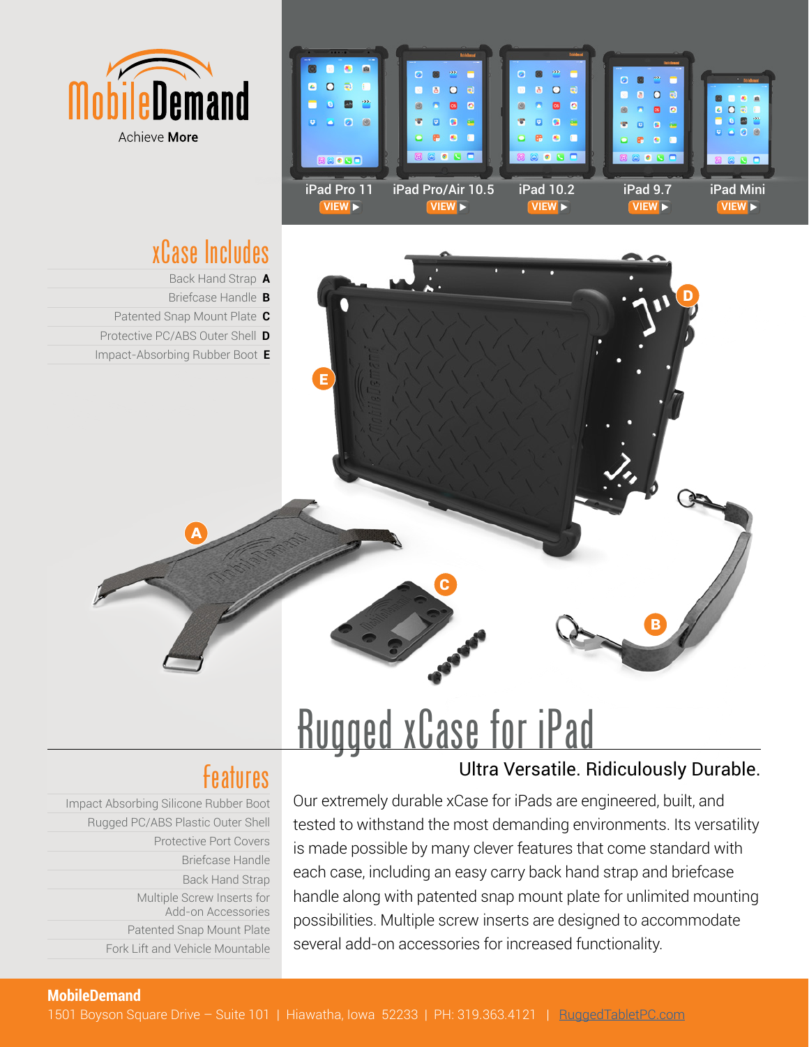



# xCase Includes

Back Hand Strap **A**

**E**

Briefcase Handle **B**

**A**

- Patented Snap Mount Plate **C**
- Protective PC/ABS Outer Shell **D**
- Impact-Absorbing Rubber Boot **E**

# Rugged xCase for iPad

**C**

## Features **Exercise State Library Contra Versatile.** Ridiculously Durable.

**B**

**D**

Impact Absorbing Silicone Rubber Boot Rugged PC/ABS Plastic Outer Shell Protective Port Covers Briefcase Handle Back Hand Strap Multiple Screw Inserts for Add-on Accessories Patented Snap Mount Plate Fork Lift and Vehicle Mountable

Our extremely durable xCase for iPads are engineered, built, and tested to withstand the most demanding environments. Its versatility is made possible by many clever features that come standard with each case, including an easy carry back hand strap and briefcase handle along with patented snap mount plate for unlimited mounting possibilities. Multiple screw inserts are designed to accommodate several add-on accessories for increased functionality.

#### **MobileDemand**